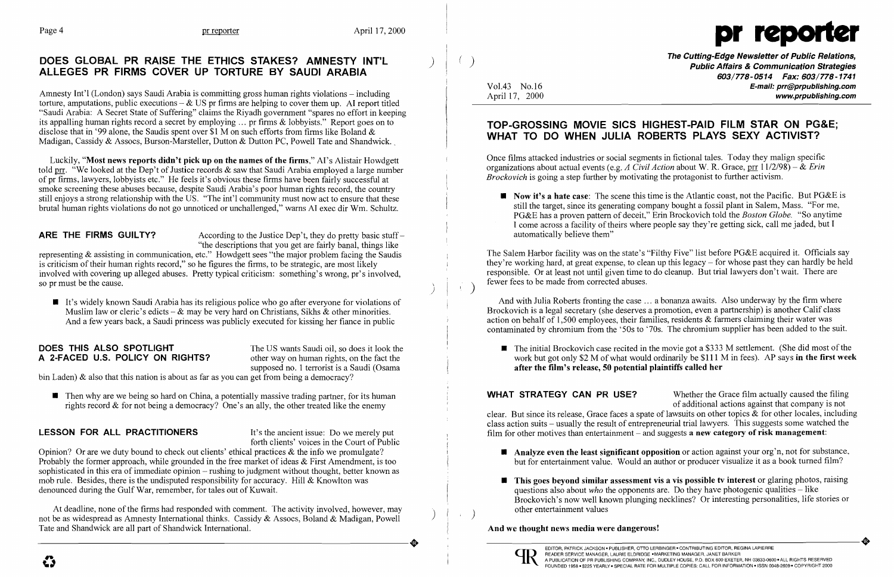

### DOES GLOBAL PR RAISE THE ETHICS STAKES? AMNESTY INT'L ALLEGES PR FIRMS COVER UP TORTURE BY SAUDI ARABIA

Amnesty Int'l (London) says Saudi Arabia is committing gross human rights violations - including torture, amputations, public executions  $-\&$  US pr firms are helping to cover them up. AI report titled "Saudi Arabia: A Secret State of Suffering" claims the Riyadh government "spares no effort in keeping its appalling human rights record a secret by employing ... pr firms & lobbyists." Report goes on to disclose that in '99 alone, the Saudis spent over \$1 M on such efforts from firms like Boland & Madigan, Cassidy & Assocs, Burson-Marsteller, Dutton & Dutton PC, Powell Tate and Shandwick.

ARE THE FIRMS GUILTY? According to the Justice Dep't, they do pretty basic stuff – "the descriptions that you get are fairly banal, things like

representing & assisting in communication, etc." Howdgett sees "the major problem facing the Saudis is criticism of their human rights record," so he figures the firms, to be strategic, are most likely involved with covering up alleged abuses. Pretty typical criticism: something's wrong, pr's involved, so pr must be the cause.

Luckily, "Most news reports didn't pick up on the names of the firms," AI's Alistair Howdgett told prr. "We looked at the Dep't of Justice records & saw that Saudi Arabia employed a large number of pr firms, lawyers, lobbyists etc." He feels it's obvious these firms have been fairly successful at smoke screening these abuses because, despite Saudi Arabia's poor human rights record, the country still enjoys a strong relationship with the US. "The int'l community must now act to ensure that these brutal human rights violations do not go unnoticed or unchallenged," warns AI exec dir Wm. Schultz.

**If** It's widely known Saudi Arabia has its religious police who go after everyone for violations of Muslim law or cleric's edicts -  $\&$  may be very hard on Christians, Sikhs  $\&$  other minorities. And a few years back, a Saudi princess was publicly executed for kissing her fiance in public

# **DOES THIS ALSO SPOTLIGHT** The US wants Saudi oil, so does it look the **A 2-FACED U.S. POLICY ON RIGHTS?** other way on human rights, on the fact the

other way on human rights, on the fact the supposed no. 1 terrorist is a Saudi (Osama

)

Once films attacked industries or social segments in fictional tales. Today they malign specific organizations about actual events (e.g. *A Civil Action* about W. R. Grace, prr 11/2/98) - & *Erin Brockovich* is going a step further by motivating the protagonist to further activism.

The Salem Harbor facility was on the state's "Filthy Five" list before PG&E acquired it. Officials say they're working hard, at great expense, to clean up this legacy – for whose past they can hardly be held responsible. Or at least not until given time to do cleanup. But trial lawyers don't wait. There are fewer fees to be made from corrected abuses.

bin Laden) & also that this nation is about as far as you can get from being a democracy?

 $\blacksquare$  Then why are we being so hard on China, a potentially massive trading partner, for its human rights record  $\&$  for not being a democracy? One's an ally, the other treated like the enemy

### LESSON FOR ALL PRACTITIONERS It's the ancient issue: Do we merely put

forth clients' voices in the Court of Public

Opinion? Or are we duty bound to check out clients' ethical practices & the info we promulgate? Probably the former approach, while grounded in the free market of ideas  $&$  First Amendment, is too sophisticated in this era of immediate opinion – rushing to judgment without thought, better known as mob rule. Besides, there is the undisputed responsibility for accuracy. Hill & Knowlton was denounced during the Gulf War, remember, for tales out of Kuwait.

At deadline, none of the firms had responded with comment. The activity involved, however, may not be as widespread as Amnesty International thinks. Cassidy & Assocs, Boland & Madigan, Powell Tate and Shandwick are all part of Shandwick International. not be as widespread as Amnesty International thinks. Cassidy & Assocs, Boland & Madigan, Powell<br>Tate and Shandwick are all part of Shandwick International.

**Analyze even the least significant opposition** or action against your org'n, not for substance, but for entertainment value. Would an author or producer visualize it as a book turned film?

 $\blacksquare$  This goes beyond similar assessment vis a vis possible tv interest or glaring photos, raising questions also about *who* the opponents are. Do they have photogenic qualities – like Brockovich's now well known plunging necklines? Or interesting personalities, life stories or



Vol.43 No.16 April 17, 2000

 $\left(\begin{array}{c} \end{array}\right)$ 

The Cutting-Edge Newsletter of Public Relations, Public Affairs & Communication Strategies 603/778-0514 Fax: 603/778-1741 E-mail: prr@prpublishing.com www.prpublishing.com

 $\blacksquare$  Now it's a hate case: The scene this time is the Atlantic coast, not the Pacific. But PG&E is still the target, since its generating company bought a fossil plant in Salem, Mass. "For me, PG&E has a proven pattern of deceit," Erin Brockovich told the *Boston Globe.* "So anytime I come across a facility of theirs where people say they're getting sick, call me jaded, but I

 $\blacksquare$  The initial Brockovich case recited in the movie got a \$333 M settlement. (She did most of the work but got only \$2 M of what would ordinarily be \$111 M in fees). AP says in the first week

# TOP-GROSSING MOVIE SICS HIGHEST-PAID FILM STAR ON PG&E; WHAT TO DO WHEN JULIA ROBERTS PLAYS SEXY ACTIVIST?

automatically believe them"

And with Julia Roberts fronting the case ... a bonanza awaits. Also underway by the firm where Brockovich is a legal secretary (she deserves a promotion, even a partnership) is another Calif class action on behalf of 1,500 employees, their families, residents & farmers claiming their water was contaminated by chromium from the '50s to '70s. The chromium supplier has been added to the suit.

after the film's release, 50 potential plaintiffs called her

WHAT STRATEGY CAN PR USE? Whether the Grace film actually caused the filing of additional actions against that company is not clear. But since its release, Grace faces a spate of lawsuits on other topics & for other locales, including class action suits - usually the result of entrepreneurial trial lawyers. This suggests some watched the film for other motives than entertainment – and suggests a new category of risk management:

- 
- other entertainment values )

And we thought news media were dangerous!



 $\sim 40$